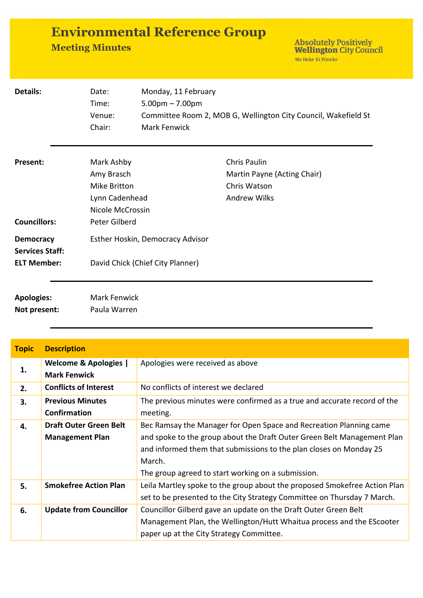| <b>Environmental Reference Group</b> |  |
|--------------------------------------|--|
| <b>Meeting Minutes</b>               |  |

Absolutely Positively<br>Wellington City Council Me Heke Ki Pôneke

| <b>Details:</b>        | Date:                            | Monday, 11 February                                                                 |                             |  |  |
|------------------------|----------------------------------|-------------------------------------------------------------------------------------|-----------------------------|--|--|
|                        | Time:                            | $5.00pm - 7.00pm$<br>Committee Room 2, MOB G, Wellington City Council, Wakefield St |                             |  |  |
|                        | Venue:                           |                                                                                     |                             |  |  |
|                        | Chair:                           | <b>Mark Fenwick</b>                                                                 |                             |  |  |
| <b>Present:</b>        | Mark Ashby                       |                                                                                     | Chris Paulin                |  |  |
|                        | Amy Brasch                       |                                                                                     | Martin Payne (Acting Chair) |  |  |
|                        | Mike Britton                     |                                                                                     | Chris Watson                |  |  |
|                        | Lynn Cadenhead                   |                                                                                     | <b>Andrew Wilks</b>         |  |  |
| Nicole McCrossin       |                                  |                                                                                     |                             |  |  |
| <b>Councillors:</b>    | Peter Gilberd                    |                                                                                     |                             |  |  |
| <b>Democracy</b>       | Esther Hoskin, Democracy Advisor |                                                                                     |                             |  |  |
| <b>Services Staff:</b> |                                  |                                                                                     |                             |  |  |
| <b>ELT Member:</b>     |                                  | David Chick (Chief City Planner)                                                    |                             |  |  |
| <b>Apologies:</b>      | <b>Mark Fenwick</b>              |                                                                                     |                             |  |  |
| Not present:           | Paula Warren                     |                                                                                     |                             |  |  |
|                        |                                  |                                                                                     |                             |  |  |

| <b>Topic</b> | <b>Description</b>               |                                                                           |  |  |
|--------------|----------------------------------|---------------------------------------------------------------------------|--|--|
|              | <b>Welcome &amp; Apologies  </b> | Apologies were received as above                                          |  |  |
| 1.           | <b>Mark Fenwick</b>              |                                                                           |  |  |
| 2.           | <b>Conflicts of Interest</b>     | No conflicts of interest we declared                                      |  |  |
| 3.           | <b>Previous Minutes</b>          | The previous minutes were confirmed as a true and accurate record of the  |  |  |
|              | Confirmation                     | meeting.                                                                  |  |  |
| 4.           | <b>Draft Outer Green Belt</b>    | Bec Ramsay the Manager for Open Space and Recreation Planning came        |  |  |
|              | <b>Management Plan</b>           | and spoke to the group about the Draft Outer Green Belt Management Plan   |  |  |
|              |                                  | and informed them that submissions to the plan closes on Monday 25        |  |  |
|              |                                  | March.                                                                    |  |  |
|              |                                  | The group agreed to start working on a submission.                        |  |  |
| 5.           | <b>Smokefree Action Plan</b>     | Leila Martley spoke to the group about the proposed Smokefree Action Plan |  |  |
|              |                                  | set to be presented to the City Strategy Committee on Thursday 7 March.   |  |  |
| 6.           | <b>Update from Councillor</b>    | Councillor Gilberd gave an update on the Draft Outer Green Belt           |  |  |
|              |                                  | Management Plan, the Wellington/Hutt Whaitua process and the EScooter     |  |  |
|              |                                  | paper up at the City Strategy Committee.                                  |  |  |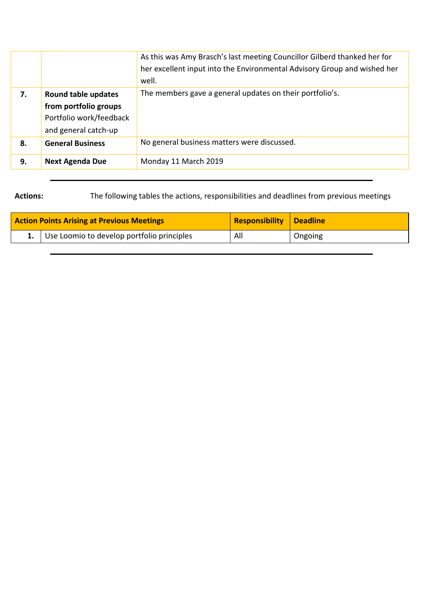|    |                                                                                                        | As this was Amy Brasch's last meeting Councillor Gilberd thanked her for<br>her excellent input into the Environmental Advisory Group and wished her<br>well. |
|----|--------------------------------------------------------------------------------------------------------|---------------------------------------------------------------------------------------------------------------------------------------------------------------|
| 7. | <b>Round table updates</b><br>from portfolio groups<br>Portfolio work/feedback<br>and general catch-up | The members gave a general updates on their portfolio's.                                                                                                      |
| 8. | <b>General Business</b>                                                                                | No general business matters were discussed.                                                                                                                   |
| 9. | <b>Next Agenda Due</b>                                                                                 | Monday 11 March 2019                                                                                                                                          |

**Actions:** The following tables the actions, responsibilities and deadlines from previous meetings

| <b>Action Points Arising at Previous Meetings</b> | <b>Responsibility Deadline</b> |         |
|---------------------------------------------------|--------------------------------|---------|
| 1. Use Loomio to develop portfolio principles     | All                            | Ongoing |